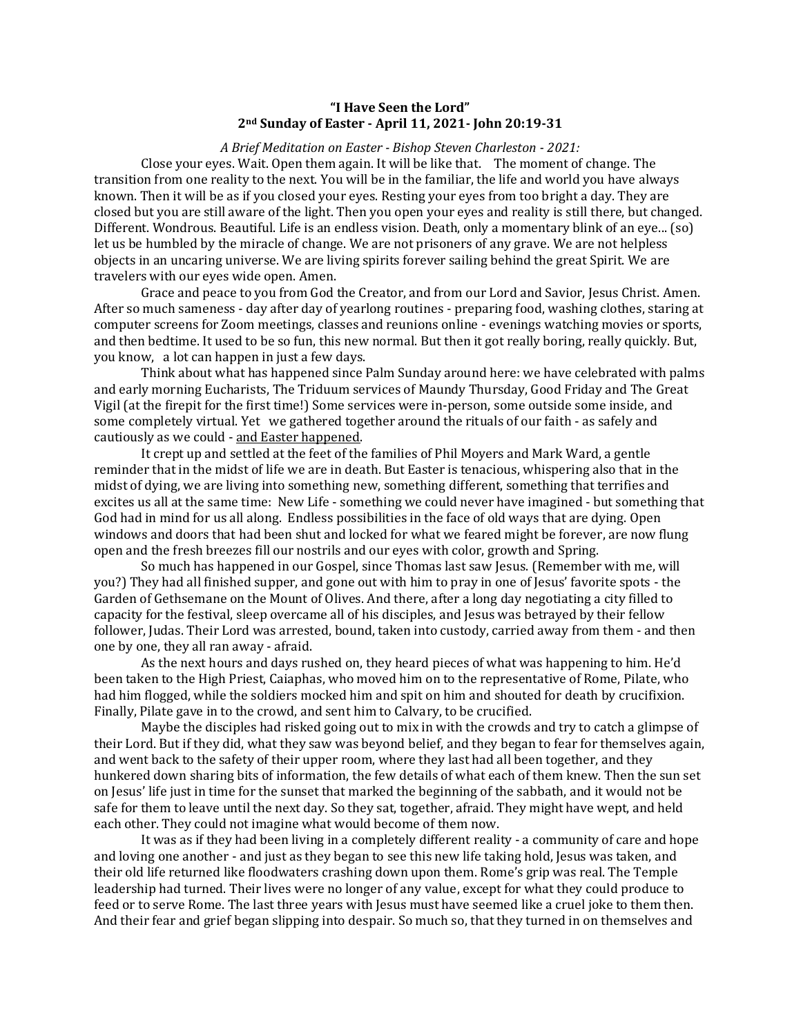## **"I Have Seen the Lord" 2nd Sunday of Easter - April 11, 2021- John 20:19-31**

## *A Brief Meditation on Easter - Bishop Steven Charleston - 2021:*

Close your eyes. Wait. Open them again. It will be like that. The moment of change. The transition from one reality to the next. You will be in the familiar, the life and world you have always known. Then it will be as if you closed your eyes. Resting your eyes from too bright a day. They are closed but you are still aware of the light. Then you open your eyes and reality is still there, but changed. Different. Wondrous. Beautiful. Life is an endless vision. Death, only a momentary blink of an eye... (so) let us be humbled by the miracle of change. We are not prisoners of any grave. We are not helpless objects in an uncaring universe. We are living spirits forever sailing behind the great Spirit. We are travelers with our eyes wide open. Amen.

Grace and peace to you from God the Creator, and from our Lord and Savior, Jesus Christ. Amen. After so much sameness - day after day of yearlong routines - preparing food, washing clothes, staring at computer screens for Zoom meetings, classes and reunions online - evenings watching movies or sports, and then bedtime. It used to be so fun, this new normal. But then it got really boring, really quickly. But, you know, a lot can happen in just a few days.

Think about what has happened since Palm Sunday around here: we have celebrated with palms and early morning Eucharists, The Triduum services of Maundy Thursday, Good Friday and The Great Vigil (at the firepit for the first time!) Some services were in-person, some outside some inside, and some completely virtual. Yet we gathered together around the rituals of our faith - as safely and cautiously as we could - and Easter happened.

It crept up and settled at the feet of the families of Phil Moyers and Mark Ward, a gentle reminder that in the midst of life we are in death. But Easter is tenacious, whispering also that in the midst of dying, we are living into something new, something different, something that terrifies and excites us all at the same time: New Life - something we could never have imagined - but something that God had in mind for us all along. Endless possibilities in the face of old ways that are dying. Open windows and doors that had been shut and locked for what we feared might be forever, are now flung open and the fresh breezes fill our nostrils and our eyes with color, growth and Spring.

So much has happened in our Gospel, since Thomas last saw Jesus. (Remember with me, will you?) They had all finished supper, and gone out with him to pray in one of Jesus' favorite spots - the Garden of Gethsemane on the Mount of Olives. And there, after a long day negotiating a city filled to capacity for the festival, sleep overcame all of his disciples, and Jesus was betrayed by their fellow follower, Judas. Their Lord was arrested, bound, taken into custody, carried away from them - and then one by one, they all ran away - afraid.

As the next hours and days rushed on, they heard pieces of what was happening to him. He'd been taken to the High Priest, Caiaphas, who moved him on to the representative of Rome, Pilate, who had him flogged, while the soldiers mocked him and spit on him and shouted for death by crucifixion. Finally, Pilate gave in to the crowd, and sent him to Calvary, to be crucified.

Maybe the disciples had risked going out to mix in with the crowds and try to catch a glimpse of their Lord. But if they did, what they saw was beyond belief, and they began to fear for themselves again, and went back to the safety of their upper room, where they last had all been together, and they hunkered down sharing bits of information, the few details of what each of them knew. Then the sun set on Jesus' life just in time for the sunset that marked the beginning of the sabbath, and it would not be safe for them to leave until the next day. So they sat, together, afraid. They might have wept, and held each other. They could not imagine what would become of them now.

It was as if they had been living in a completely different reality - a community of care and hope and loving one another - and just as they began to see this new life taking hold, Jesus was taken, and their old life returned like floodwaters crashing down upon them. Rome's grip was real. The Temple leadership had turned. Their lives were no longer of any value, except for what they could produce to feed or to serve Rome. The last three years with Jesus must have seemed like a cruel joke to them then. And their fear and grief began slipping into despair. So much so, that they turned in on themselves and